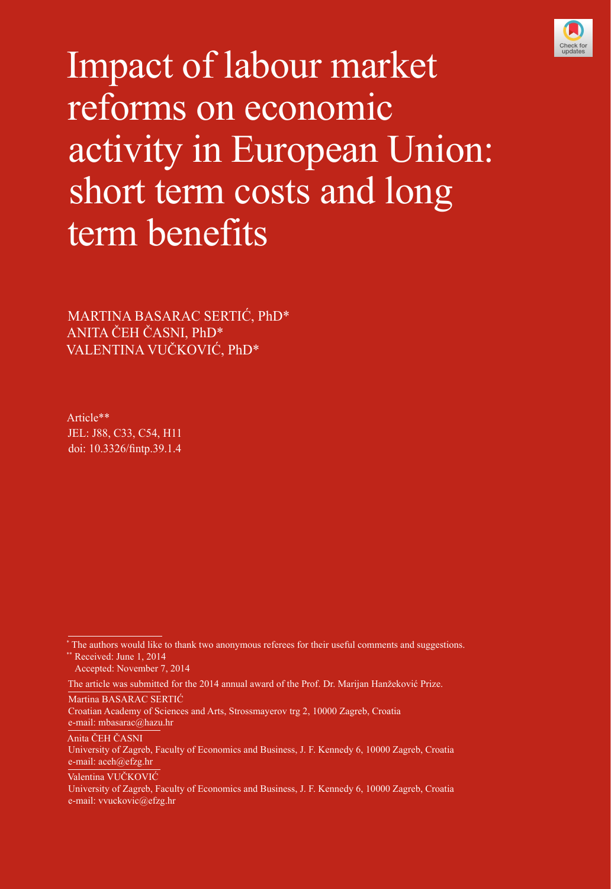

Impact of labour market reforms on economic activity in European Union: short term costs and long term benefits

MARTINA BASARAC SERTIĆ, PhD\* ANITA ČEH ČASNI, PhD\* VALENTINA VUČKOVIĆ, PhD\*

Article\*\* JEL: J88, C33, C54, H11 doi: [10.3326/fintp.39.1.4](http://dx.doi.org/10.3326/fintp.39.1.4)

\*\* Received: June 1, 2014 Accepted: November 7, 2014

Martina BASARAC SERTIĆ

Anita ČEH ČASNI

Valentina VUČKOVIĆ

<sup>\*</sup> The authors would like to thank two anonymous referees for their useful comments and suggestions.

The article was submitted for the 2014 annual award of the Prof. Dr. Marijan Hanžeković Prize.

Croatian Academy of Sciences and Arts, Strossmayerov trg 2, 10000 Zagreb, Croatia e-mail: mbasarac@hazu.hr

University of Zagreb, Faculty of Economics and Business, J. F. Kennedy 6, 10000 Zagreb, Croatia e-mail: aceh@efzg.hr

University of Zagreb, Faculty of Economics and Business, J. F. Kennedy 6, 10000 Zagreb, Croatia e-mail: vvuckovic@efzg.hr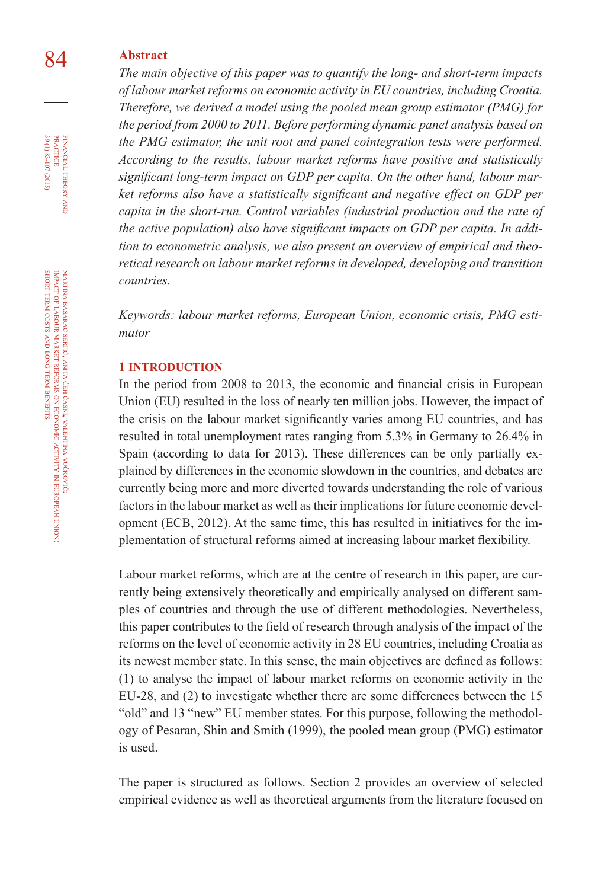# 84 **Abstract**

*The main objective of this paper was to quantify the long- and short-term impacts of labour market reforms on economic activity in EU countries, including Croatia. Therefore, we derived a model using the pooled mean group estimator (PMG) for the period from 2000 to 2011. Before performing dynamic panel analysis based on the PMG estimator, the unit root and panel cointegration tests were performed. According to the results, labour market reforms have positive and statistically significant long-term impact on GDP per capita. On the other hand, labour market reforms also have a statistically significant and negative effect on GDP per capita in the short-run. Control variables (industrial production and the rate of the active population) also have significant impacts on GDP per capita. In addition to econometric analysis, we also present an overview of empirical and theoretical research on labour market reforms in developed, developing and transition countries.*

*Keywords: labour market reforms, European Union, economic crisis, PMG estimator*

#### **1 INTRODUCTION**

In the period from 2008 to 2013, the economic and financial crisis in European Union (EU) resulted in the loss of nearly ten million jobs. However, the impact of the crisis on the labour market significantly varies among EU countries, and has resulted in total unemployment rates ranging from 5.3% in Germany to 26.4% in Spain (according to data for 2013). These differences can be only partially explained by differences in the economic slowdown in the countries, and debates are currently being more and more diverted towards understanding the role of various factors in the labour market as well as their implications for future economic development (ECB, 2012). At the same time, this has resulted in initiatives for the implementation of structural reforms aimed at increasing labour market flexibility.

Labour market reforms, which are at the centre of research in this paper, are currently being extensively theoretically and empirically analysed on different samples of countries and through the use of different methodologies. Nevertheless, this paper contributes to the field of research through analysis of the impact of the reforms on the level of economic activity in 28 EU countries, including Croatia as its newest member state. In this sense, the main objectives are defined as follows: (1) to analyse the impact of labour market reforms on economic activity in the EU-28, and (2) to investigate whether there are some differences between the 15 "old" and 13 "new" EU member states. For this purpose, following the methodology of Pesaran, Shin and Smith (1999), the pooled mean group (PMG) estimator is used.

The paper is structured as follows. Section 2 provides an overview of selected empirical evidence as well as theoretical arguments from the literature focused on

financial

39 (1) 83-107 (2015) practice

39 (1) 83-107 (2015)

vučković:

in european

union: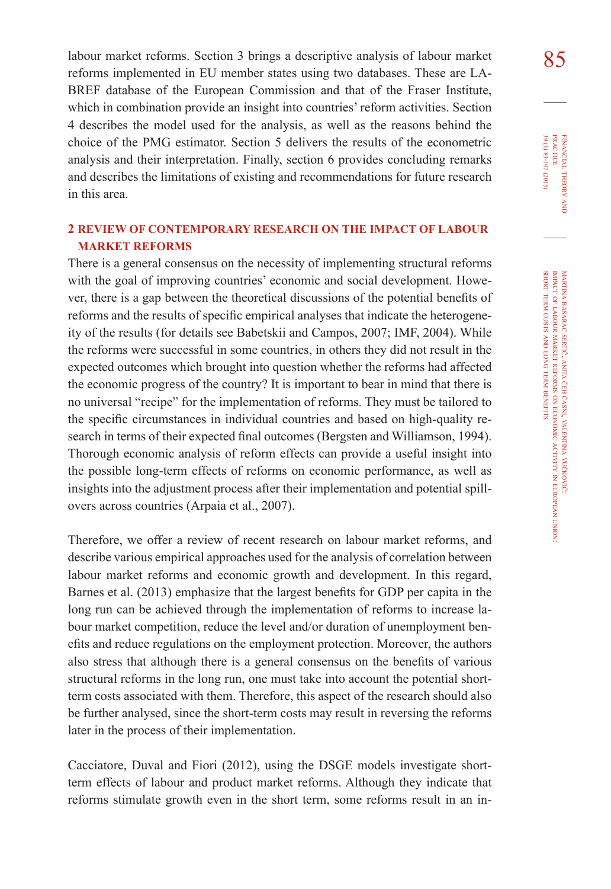labour market reforms. Section 3 brings a descriptive analysis of labour market 85 reforms implemented in EU member states using two databases. These are LA-BREF database of the European Commission and that of the Fraser Institute, which in combination provide an insight into countries' reform activities. Section 4 describes the model used for the analysis, as well as the reasons behind the choice of the PMG estimator. Section 5 delivers the results of the econometric analysis and their interpretation. Finally, section 6 provides concluding remarks and describes the limitations of existing and recommendations for future research in this area.

# **2 REVIEW OF CONTEMPORARY RESEARCH ON THE IMPACT OF LABOUR MARKET REFORMS**

There is a general consensus on the necessity of implementing structural reforms with the goal of improving countries' economic and social development. However, there is a gap between the theoretical discussions of the potential benefits of reforms and the results of specific empirical analyses that indicate the heterogeneity of the results (for details see Babetskii and Campos, 2007; IMF, 2004). While the reforms were successful in some countries, in others they did not result in the expected outcomes which brought into question whether the reforms had affected the economic progress of the country? It is important to bear in mind that there is no universal "recipe" for the implementation of reforms. They must be tailored to the specific circumstances in individual countries and based on high-quality research in terms of their expected final outcomes (Bergsten and Williamson, 1994). Thorough economic analysis of reform effects can provide a useful insight into the possible long-term effects of reforms on economic performance, as well as insights into the adjustment process after their implementation and potential spillovers across countries (Arpaia et al., 2007).

Therefore, we offer a review of recent research on labour market reforms, and describe various empirical approaches used for the analysis of correlation between labour market reforms and economic growth and development. In this regard, Barnes et al. (2013) emphasize that the largest benefits for GDP per capita in the long run can be achieved through the implementation of reforms to increase labour market competition, reduce the level and/or duration of unemployment benefits and reduce regulations on the employment protection. Moreover, the authors also stress that although there is a general consensus on the benefits of various structural reforms in the long run, one must take into account the potential shortterm costs associated with them. Therefore, this aspect of the research should also be further analysed, since the short-term costs may result in reversing the reforms later in the process of their implementation.

Cacciatore, Duval and Fiori (2012), using the DSGE models investigate shortterm effects of labour and product market reforms. Although they indicate that reforms stimulate growth even in the short term, some reforms result in an in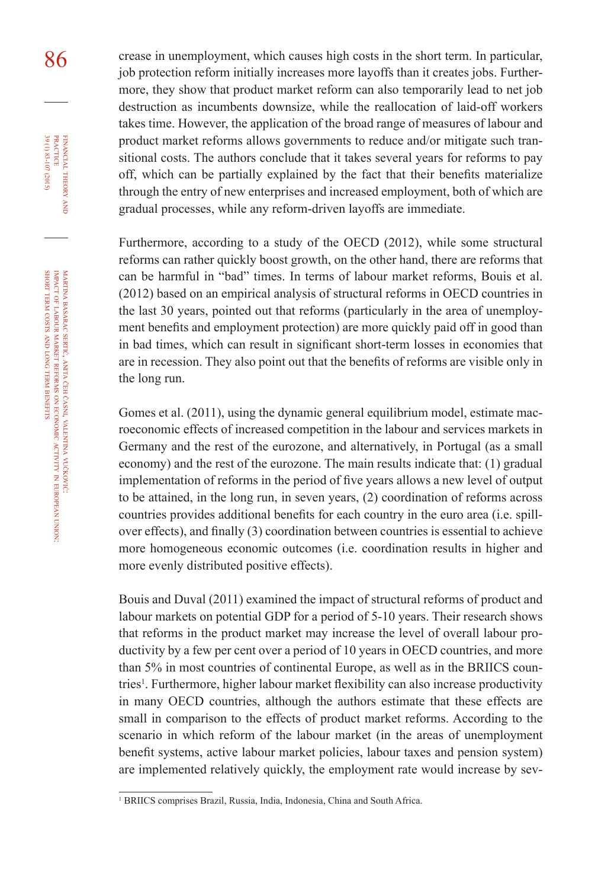86 crease in unemployment, which causes high costs in the short term. In particular, job protection reform initially increases more layoffs than it creates jobs. Furthermore, they show that product market reform can also temporarily lead to net job destruction as incumbents downsize, while the reallocation of laid-off workers takes time. However, the application of the broad range of measures of labour and product market reforms allows governments to reduce and/or mitigate such transitional costs. The authors conclude that it takes several years for reforms to pay off, which can be partially explained by the fact that their benefits materialize through the entry of new enterprises and increased employment, both of which are gradual processes, while any reform-driven layoffs are immediate.

> Furthermore, according to a study of the OECD (2012), while some structural reforms can rather quickly boost growth, on the other hand, there are reforms that can be harmful in "bad" times. In terms of labour market reforms, Bouis et al. (2012) based on an empirical analysis of structural reforms in OECD countries in the last 30 years, pointed out that reforms (particularly in the area of unemployment benefits and employment protection) are more quickly paid off in good than in bad times, which can result in significant short-term losses in economies that are in recession. They also point out that the benefits of reforms are visible only in the long run.

> Gomes et al. (2011), using the dynamic general equilibrium model, estimate macroeconomic effects of increased competition in the labour and services markets in Germany and the rest of the eurozone, and alternatively, in Portugal (as a small economy) and the rest of the eurozone. The main results indicate that: (1) gradual implementation of reforms in the period of five years allows a new level of output to be attained, in the long run, in seven years, (2) coordination of reforms across countries provides additional benefits for each country in the euro area (i.e. spillover effects), and finally (3) coordination between countries is essential to achieve more homogeneous economic outcomes (i.e. coordination results in higher and more evenly distributed positive effects).

> Bouis and Duval (2011) examined the impact of structural reforms of product and labour markets on potential GDP for a period of 5-10 years. Their research shows that reforms in the product market may increase the level of overall labour productivity by a few per cent over a period of 10 years in OECD countries, and more than 5% in most countries of continental Europe, as well as in the BRIICS countries . Furthermore, higher labour market flexibility can also increase productivity in many OECD countries, although the authors estimate that these effects are small in comparison to the effects of product market reforms. According to the scenario in which reform of the labour market (in the areas of unemployment benefit systems, active labour market policies, labour taxes and pension system) are implemented relatively quickly, the employment rate would increase by sev-

financial

practice

<sup>&</sup>lt;sup>1</sup> BRIICS comprises Brazil, Russia, India, Indonesia, China and South Africa.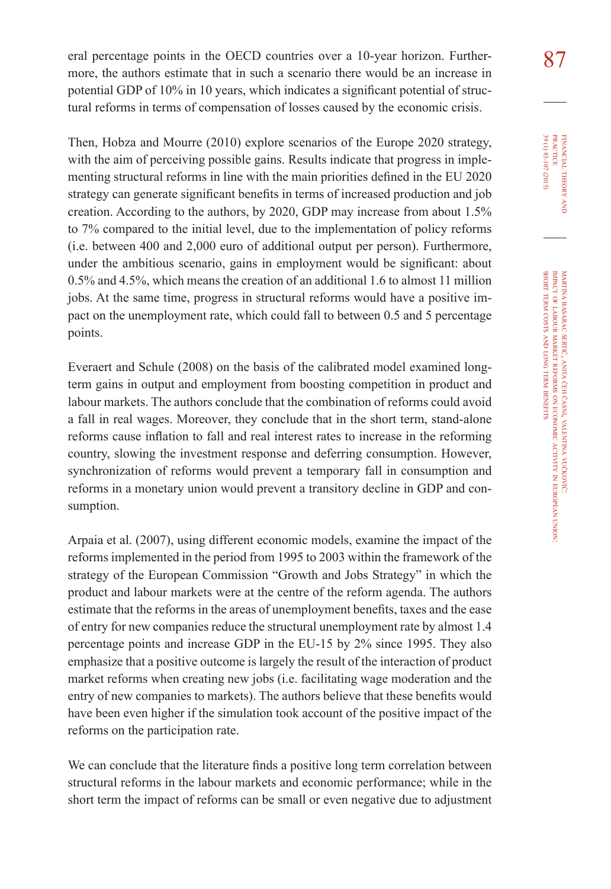eral percentage points in the OECD countries over a 10-year horizon. Further- $\frac{87}{100}$ more, the authors estimate that in such a scenario there would be an increase in potential GDP of 10% in 10 years, which indicates a significant potential of structural reforms in terms of compensation of losses caused by the economic crisis.

Then, Hobza and Mourre (2010) explore scenarios of the Europe 2020 strategy, with the aim of perceiving possible gains. Results indicate that progress in implementing structural reforms in line with the main priorities defined in the EU 2020 strategy can generate significant benefits in terms of increased production and job creation. According to the authors, by 2020, GDP may increase from about 1.5% to 7% compared to the initial level, due to the implementation of policy reforms (i.e. between 400 and 2,000 euro of additional output per person). Furthermore, under the ambitious scenario, gains in employment would be significant: about 0.5% and 4.5%, which means the creation of an additional 1.6 to almost 11 million jobs. At the same time, progress in structural reforms would have a positive impact on the unemployment rate, which could fall to between 0.5 and 5 percentage points.

Everaert and Schule (2008) on the basis of the calibrated model examined longterm gains in output and employment from boosting competition in product and labour markets. The authors conclude that the combination of reforms could avoid a fall in real wages. Moreover, they conclude that in the short term, stand-alone reforms cause inflation to fall and real interest rates to increase in the reforming country, slowing the investment response and deferring consumption. However, synchronization of reforms would prevent a temporary fall in consumption and reforms in a monetary union would prevent a transitory decline in GDP and consumption.

Arpaia et al. (2007), using different economic models, examine the impact of the reforms implemented in the period from 1995 to 2003 within the framework of the strategy of the European Commission "Growth and Jobs Strategy" in which the product and labour markets were at the centre of the reform agenda. The authors estimate that the reforms in the areas of unemployment benefits, taxes and the ease of entry for new companies reduce the structural unemployment rate by almost 1.4 percentage points and increase GDP in the EU-15 by 2% since 1995. They also emphasize that a positive outcome is largely the result of the interaction of product market reforms when creating new jobs (i.e. facilitating wage moderation and the entry of new companies to markets). The authors believe that these benefits would have been even higher if the simulation took account of the positive impact of the reforms on the participation rate.

We can conclude that the literature finds a positive long term correlation between structural reforms in the labour markets and economic performance; while in the short term the impact of reforms can be small or even negative due to adjustment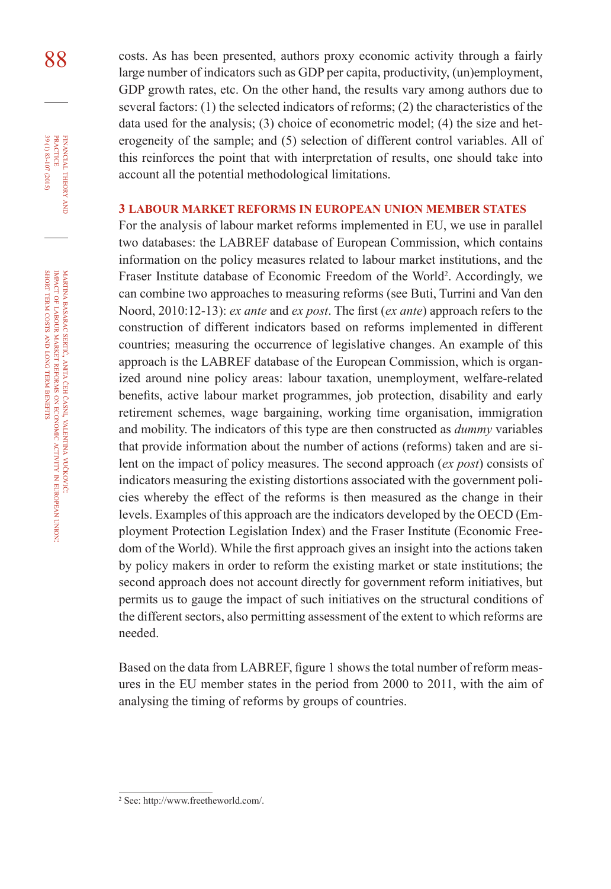88 costs. As has been presented, authors proxy economic activity through a fairly large number of indicators such as GDP per capita, productivity, (un)employment, GDP growth rates, etc. On the other hand, the results vary among authors due to several factors: (1) the selected indicators of reforms; (2) the characteristics of the data used for the analysis; (3) choice of econometric model; (4) the size and heterogeneity of the sample; and (5) selection of different control variables. All of this reinforces the point that with interpretation of results, one should take into account all the potential methodological limitations.

#### **3 Labour market reforms in European Union member states**

For the analysis of labour market reforms implemented in EU, we use in parallel two databases: the LABREF database of European Commission, which contains information on the policy measures related to labour market institutions, and the Fraser Institute database of Economic Freedom of the World . Accordingly, we can combine two approaches to measuring reforms (see Buti, Turrini and Van den Noord, 2010:12-13): *ex ante* and *ex post*. The first (*ex ante*) approach refers to the construction of different indicators based on reforms implemented in different countries; measuring the occurrence of legislative changes. An example of this approach is the LABREF database of the European Commission, which is organized around nine policy areas: labour taxation, unemployment, welfare-related benefits, active labour market programmes, job protection, disability and early retirement schemes, wage bargaining, working time organisation, immigration and mobility. The indicators of this type are then constructed as *dummy* variables that provide information about the number of actions (reforms) taken and are silent on the impact of policy measures. The second approach (*ex post*) consists of indicators measuring the existing distortions associated with the government policies whereby the effect of the reforms is then measured as the change in their levels. Examples of this approach are the indicators developed by the OECD (Employment Protection Legislation Index) and the Fraser Institute (Economic Freedom of the World). While the first approach gives an insight into the actions taken by policy makers in order to reform the existing market or state institutions; the second approach does not account directly for government reform initiatives, but permits us to gauge the impact of such initiatives on the structural conditions of the different sectors, also permitting assessment of the extent to which reforms are needed.

Based on the data from LABREF, figure 1 shows the total number of reform measures in the EU member states in the period from 2000 to 2011, with the aim of analysing the timing of reforms by groups of countries.

financial

FINANCIAL THEORY<br>PRACTICE 39 (1) 83-107 (2015)

39 (1) 83-107 (2015) practice

theory and

 See: http://www.freetheworld.com/.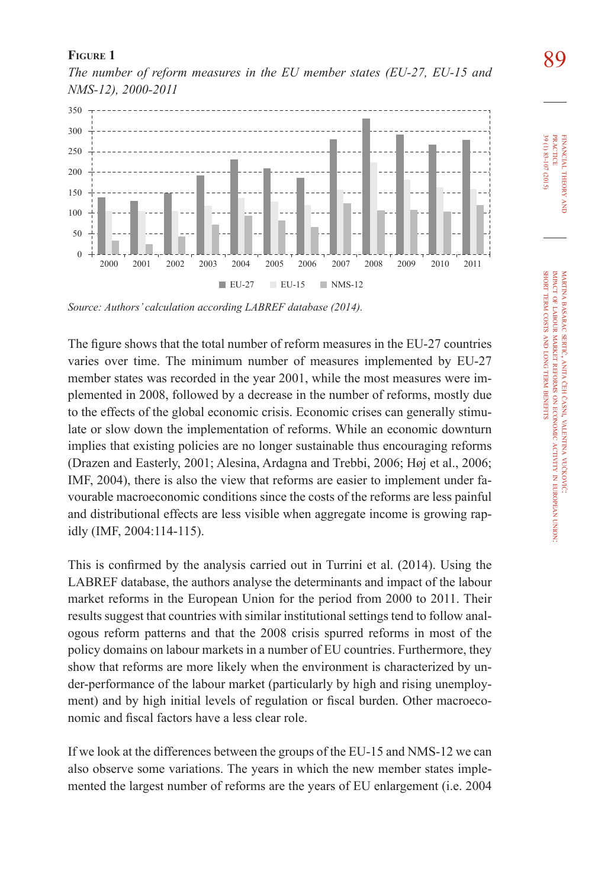

**FIGURE 1**<br>The number of reform measures in the EU member states (EU-27, EU-15 and **89** *NMS-12), 2000-2011* 

*Source: Authors' calculation according LABREF database (2014).*

The figure shows that the total number of reform measures in the EU-27 countries varies over time. The minimum number of measures implemented by EU-27 member states was recorded in the year 2001, while the most measures were implemented in 2008, followed by a decrease in the number of reforms, mostly due to the effects of the global economic crisis. Economic crises can generally stimulate or slow down the implementation of reforms. While an economic downturn implies that existing policies are no longer sustainable thus encouraging reforms (Drazen and Easterly, 2001; Alesina, Ardagna and Trebbi, 2006; Høj et al., 2006; IMF, 2004), there is also the view that reforms are easier to implement under favourable macroeconomic conditions since the costs of the reforms are less painful and distributional effects are less visible when aggregate income is growing rapidly (IMF, 2004:114-115).

This is confirmed by the analysis carried out in Turrini et al. (2014). Using the LABREF database, the authors analyse the determinants and impact of the labour market reforms in the European Union for the period from 2000 to 2011. Their results suggest that countries with similar institutional settings tend to follow analogous reform patterns and that the 2008 crisis spurred reforms in most of the policy domains on labour markets in a number of EU countries. Furthermore, they show that reforms are more likely when the environment is characterized by under-performance of the labour market (particularly by high and rising unemployment) and by high initial levels of regulation or fiscal burden. Other macroeconomic and fiscal factors have a less clear role.

If we look at the differences between the groups of the EU-15 and NMS-12 we can also observe some variations. The years in which the new member states implemented the largest number of reforms are the years of EU enlargement (i.e. 2004

martina

financial

39 (1) 83-107 (2015) practice

39 (1) 83-107 (2015) **PRACTICE** FINANCIAL THEORY

theory and

impact of labour

short term costs and long term benefits

basarac

sertić, anita MARTINA BASARAC SERTIĆ, ANITA ČEH ČASNI, VALENTINA VUČKOVIĆ

market

reforms ş economic

časni, valentina

vučković:

activity

european

union: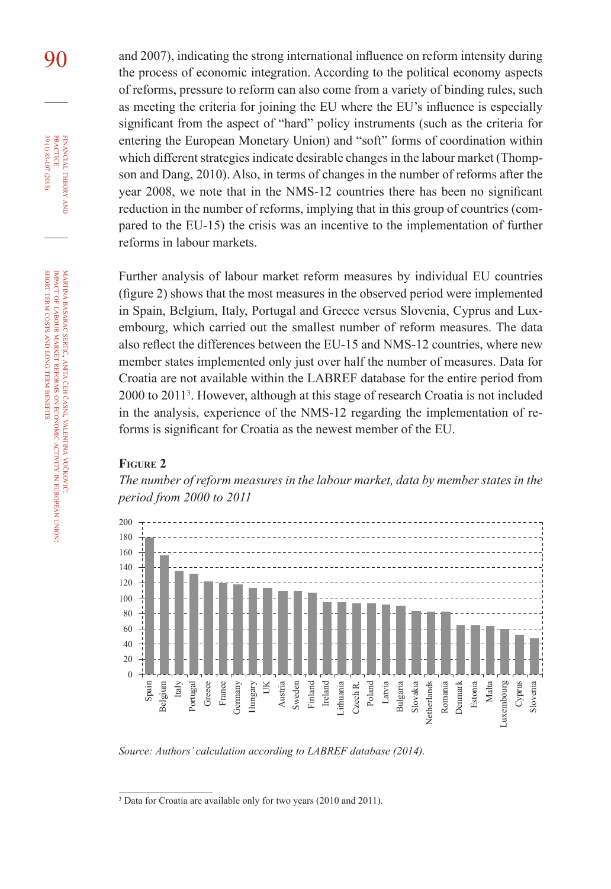9<sub>0</sub> and 2007), indicating the strong international influence on reform intensity during the process of economic integration. According to the political economy aspects of reforms, pressure to reform can also come from a variety of binding rules, such as meeting the criteria for joining the EU where the EU's influence is especially significant from the aspect of "hard" policy instruments (such as the criteria for entering the European Monetary Union) and "soft" forms of coordination within which different strategies indicate desirable changes in the labour market (Thompson and Dang, 2010). Also, in terms of changes in the number of reforms after the year 2008, we note that in the NMS-12 countries there has been no significant reduction in the number of reforms, implying that in this group of countries (compared to the EU-15) the crisis was an incentive to the implementation of further reforms in labour markets.

> Further analysis of labour market reform measures by individual EU countries (figure 2) shows that the most measures in the observed period were implemented in Spain, Belgium, Italy, Portugal and Greece versus Slovenia, Cyprus and Luxembourg, which carried out the smallest number of reform measures. The data also reflect the differences between the EU-15 and NMS-12 countries, where new member states implemented only just over half the number of measures. Data for Croatia are not available within the LABREF database for the entire period from 2000 to 2011<sup>3</sup>. However, although at this stage of research Croatia is not included in the analysis, experience of the NMS-12 regarding the implementation of reforms is significant for Croatia as the newest member of the EU.

#### **Figure 2**

*The number of reform measures in the labour market, data by member states in the period from 2000 to 2011* 



*Source: Authors' calculation according to LABREF database (2014).*

financial

practice

**PRACTICE** 

sertić, anita

market

and long term **BENEFITS** 

reforms ş economic ANITA CEH CASNI, WLENTINA VUCKOVIC časni, valentina

vučković:

activity in european

union:

<sup>&</sup>lt;sup>3</sup> Data for Croatia are available only for two years (2010 and 2011).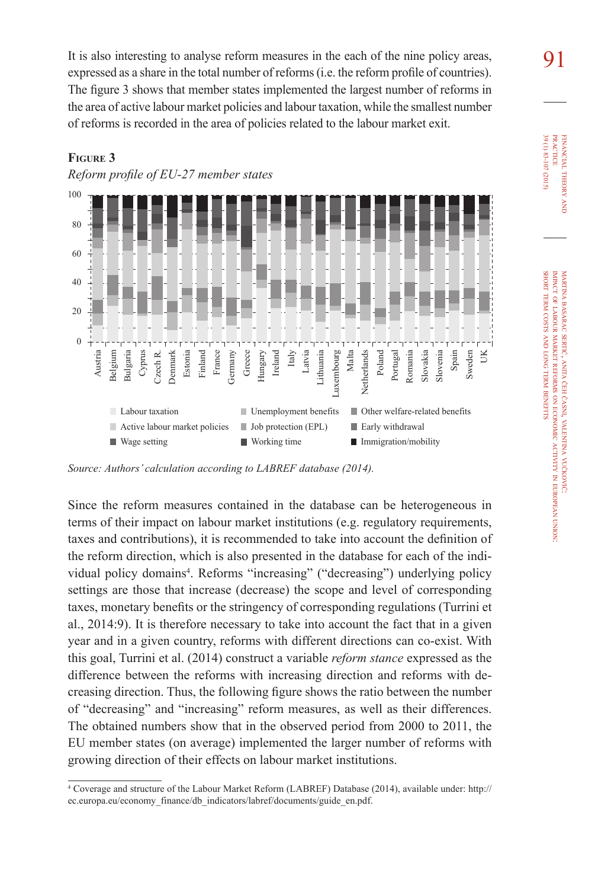It is also interesting to analyse reform measures in the each of the nine policy areas,  $\mathbf{91}$ expressed as a share in the total number of reforms (i.e. the reform profile of countries). The figure 3 shows that member states implemented the largest number of reforms in the area of active labour market policies and labour taxation, while the smallest number of reforms is recorded in the area of policies related to the labour market exit.



# **Figure 3**

*Reform profile of EU-27 member states*

*Source: Authors' calculation according to LABREF database (2014).*

Since the reform measures contained in the database can be heterogeneous in terms of their impact on labour market institutions (e.g. regulatory requirements, taxes and contributions), it is recommended to take into account the definition of the reform direction, which is also presented in the database for each of the individual policy domains<sup>4</sup>. Reforms "increasing" ("decreasing") underlying policy settings are those that increase (decrease) the scope and level of corresponding taxes, monetary benefits or the stringency of corresponding regulations (Turrini et al., 2014:9). It is therefore necessary to take into account the fact that in a given year and in a given country, reforms with different directions can co-exist. With this goal, Turrini et al. (2014) construct a variable *reform stance* expressed as the difference between the reforms with increasing direction and reforms with decreasing direction. Thus, the following figure shows the ratio between the number of "decreasing" and "increasing" reform measures, as well as their differences. The obtained numbers show that in the observed period from 2000 to 2011, the EU member states (on average) implemented the larger number of reforms with growing direction of their effects on labour market institutions.

Coverage and structure of the Labour Market Reform (LABREF) Database (2014), available under: http:// ec.europa.eu/economy\_finance/db\_indicators/labref/documents/guide\_en.pdf.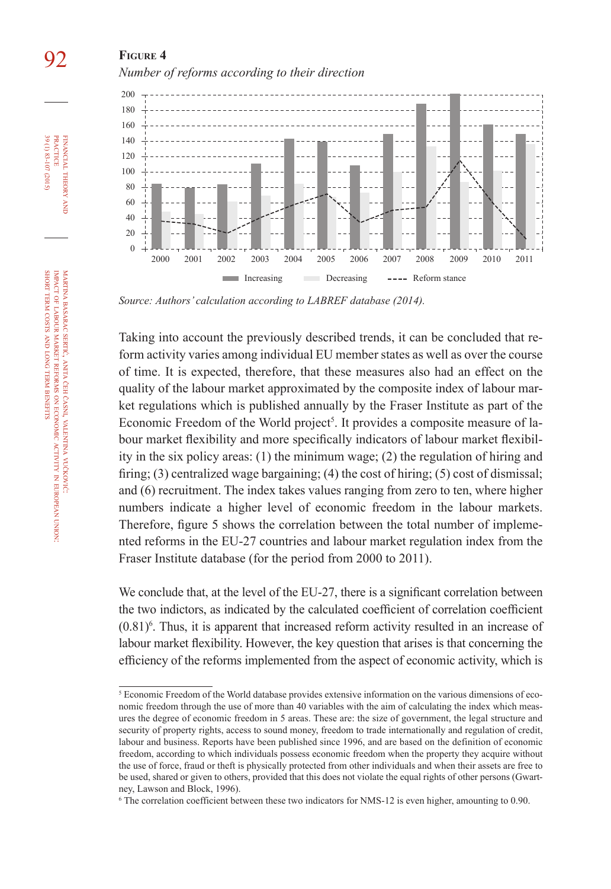# 92 **Figure 4** *Number of reforms according to their direction*



*Source: Authors' calculation according to LABREF database (2014).*

Taking into account the previously described trends, it can be concluded that reform activity varies among individual EU member states as well as over the course of time. It is expected, therefore, that these measures also had an effect on the quality of the labour market approximated by the composite index of labour market regulations which is published annually by the Fraser Institute as part of the Economic Freedom of the World project<sup>5</sup>. It provides a composite measure of labour market flexibility and more specifically indicators of labour market flexibility in the six policy areas: (1) the minimum wage; (2) the regulation of hiring and firing; (3) centralized wage bargaining; (4) the cost of hiring; (5) cost of dismissal; and (6) recruitment. The index takes values ranging from zero to ten, where higher numbers indicate a higher level of economic freedom in the labour markets. Therefore, figure 5 shows the correlation between the total number of implemented reforms in the EU-27 countries and labour market regulation index from the Fraser Institute database (for the period from 2000 to 2011).

We conclude that, at the level of the EU-27, there is a significant correlation between the two indictors, as indicated by the calculated coefficient of correlation coefficient  $(0.81)$ <sup>6</sup>. Thus, it is apparent that increased reform activity resulted in an increase of labour market flexibility. However, the key question that arises is that concerning the efficiency of the reforms implemented from the aspect of economic activity, which is

and

<sup>&</sup>lt;sup>5</sup> Economic Freedom of the World database provides extensive information on the various dimensions of economic freedom through the use of more than 40 variables with the aim of calculating the index which measures the degree of economic freedom in 5 areas. These are: the size of government, the legal structure and security of property rights, access to sound money, freedom to trade internationally and regulation of credit, labour and business. Reports have been published since 1996, and are based on the definition of economic freedom, according to which individuals possess economic freedom when the property they acquire without the use of force, fraud or theft is physically protected from other individuals and when their assets are free to be used, shared or given to others, provided that this does not violate the equal rights of other persons (Gwartney, Lawson and Block, 1996).

The correlation coefficient between these two indicators for NMS-12 is even higher, amounting to 0.90.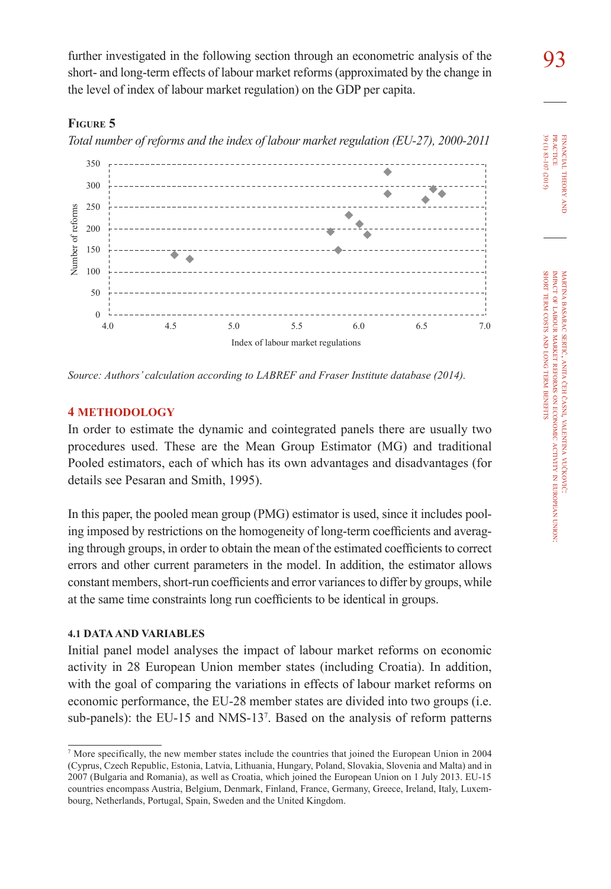further investigated in the following section through an econometric analysis of the short- and long-term effects of labour market reforms (approximated by the change in the level of index of labour market regulation) on the GDP per capita.

## **Figure 5**

*Total number of reforms and the index of labour market regulation (EU-27), 2000-2011*



*Source: Authors' calculation according to LABREF and Fraser Institute database (2014).*

### **4 METHODOLOGY**

In order to estimate the dynamic and cointegrated panels there are usually two procedures used. These are the Mean Group Estimator (MG) and traditional Pooled estimators, each of which has its own advantages and disadvantages (for details see Pesaran and Smith, 1995).

In this paper, the pooled mean group (PMG) estimator is used, since it includes pooling imposed by restrictions on the homogeneity of long-term coefficients and averaging through groups, in order to obtain the mean of the estimated coefficients to correct errors and other current parameters in the model. In addition, the estimator allows constant members, short-run coefficients and error variances to differ by groups, while at the same time constraints long run coefficients to be identical in groups.

### **4.1 DATA AND VARIABLES**

Initial panel model analyses the impact of labour market reforms on economic activity in 28 European Union member states (including Croatia). In addition, with the goal of comparing the variations in effects of labour market reforms on economic performance, the EU-28 member states are divided into two groups (i.e. sub-panels): the EU-15 and NMS-13<sup>7</sup>. Based on the analysis of reform patterns 39 (1) 83-107 (2015) 39 (1) 83-107 (2015) **PRACTICE** practice FINANCIAL THEORY financial theory and **z** 

<sup>&</sup>lt;sup>7</sup> More specifically, the new member states include the countries that joined the European Union in 2004 (Cyprus, Czech Republic, Estonia, Latvia, Lithuania, Hungary, Poland, Slovakia, Slovenia and Malta) and in 2007 (Bulgaria and Romania), as well as Croatia, which joined the European Union on 1 July 2013. EU-15 countries encompass Austria, Belgium, Denmark, Finland, France, Germany, Greece, Ireland, Italy, Luxembourg, Netherlands, Portugal, Spain, Sweden and the United Kingdom.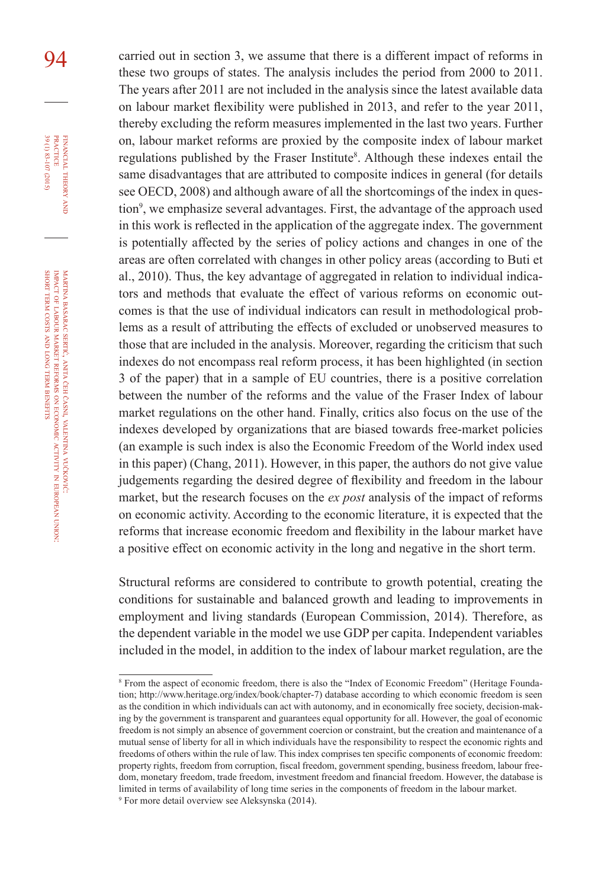94 carried out in section 3, we assume that there is a different impact of reforms in these two groups of states. The analysis includes the period from 2000 to 2011. The years after 2011 are not included in the analysis since the latest available data on labour market flexibility were published in 2013, and refer to the year 2011, thereby excluding the reform measures implemented in the last two years. Further on, labour market reforms are proxied by the composite index of labour market regulations published by the Fraser Institute<sup>8</sup>. Although these indexes entail the same disadvantages that are attributed to composite indices in general (for details see OECD, 2008) and although aware of all the shortcomings of the index in question<sup>9</sup>, we emphasize several advantages. First, the advantage of the approach used in this work is reflected in the application of the aggregate index. The government is potentially affected by the series of policy actions and changes in one of the areas are often correlated with changes in other policy areas (according to Buti et al., 2010). Thus, the key advantage of aggregated in relation to individual indicators and methods that evaluate the effect of various reforms on economic outcomes is that the use of individual indicators can result in methodological problems as a result of attributing the effects of excluded or unobserved measures to those that are included in the analysis. Moreover, regarding the criticism that such indexes do not encompass real reform process, it has been highlighted (in section 3 of the paper) that in a sample of EU countries, there is a positive correlation between the number of the reforms and the value of the Fraser Index of labour market regulations on the other hand. Finally, critics also focus on the use of the indexes developed by organizations that are biased towards free-market policies (an example is such index is also the Economic Freedom of the World index used in this paper) (Chang, 2011). However, in this paper, the authors do not give value judgements regarding the desired degree of flexibility and freedom in the labour market, but the research focuses on the *ex post* analysis of the impact of reforms on economic activity. According to the economic literature, it is expected that the reforms that increase economic freedom and flexibility in the labour market have a positive effect on economic activity in the long and negative in the short term.

> Structural reforms are considered to contribute to growth potential, creating the conditions for sustainable and balanced growth and leading to improvements in employment and living standards (European Commission, 2014). Therefore, as the dependent variable in the model we use GDP per capita. Independent variables included in the model, in addition to the index of labour market regulation, are the

FINANCIAL THEORY<br>PRACTICE 39 (1) 83-107 (2015) 39 (1) 83-107 (2015) theory and

financial

practice

martina basarac sertić, anita čeh časni, valentina vučković: impact of labour market reforms ş economic activity in european union: short term costs and long term **BENEFITS** 

From the aspect of economic freedom, there is also the "Index of Economic Freedom" (Heritage Foundation; http://www.heritage.org/index/book/chapter-7) database according to which economic freedom is seen as the condition in which individuals can act with autonomy, and in economically free society, decision-making by the government is transparent and guarantees equal opportunity for all. However, the goal of economic freedom is not simply an absence of government coercion or constraint, but the creation and maintenance of a mutual sense of liberty for all in which individuals have the responsibility to respect the economic rights and freedoms of others within the rule of law. This index comprises ten specific components of economic freedom: property rights, freedom from corruption, fiscal freedom, government spending, business freedom, labour freedom, monetary freedom, trade freedom, investment freedom and financial freedom. However, the database is limited in terms of availability of long time series in the components of freedom in the labour market. For more detail overview see Aleksynska (2014).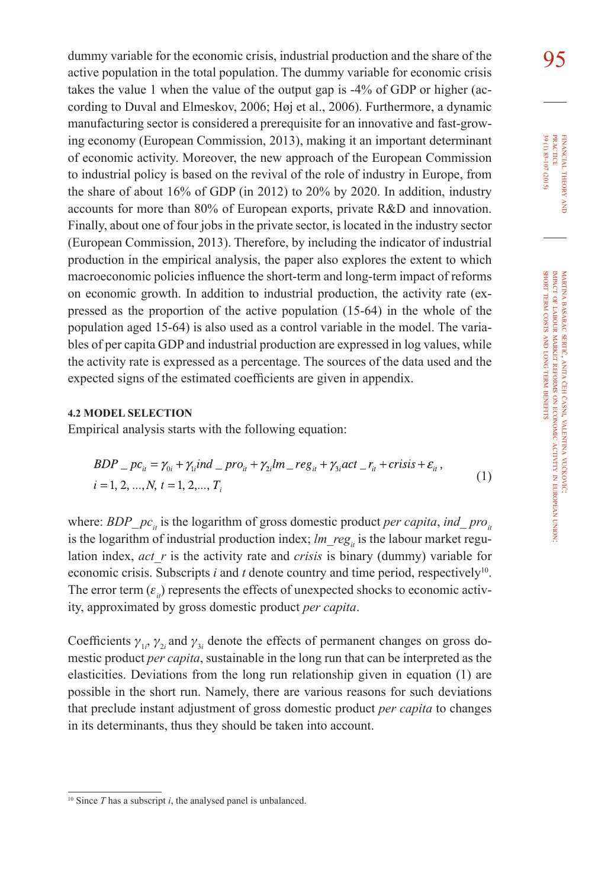dummy variable for the economic crisis, industrial production and the share of the  $95$ active population in the total population. The dummy variable for economic crisis takes the value 1 when the value of the output gap is -4% of GDP or higher (according to Duval and Elmeskov, 2006; Høj et al., 2006). Furthermore, a dynamic manufacturing sector is considered a prerequisite for an innovative and fast-growing economy (European Commission, 2013), making it an important determinant of economic activity. Moreover, the new approach of the European Commission to industrial policy is based on the revival of the role of industry in Europe, from the share of about 16% of GDP (in 2012) to 20% by 2020. In addition, industry accounts for more than 80% of European exports, private R&D and innovation. Finally, about one of four jobs in the private sector, is located in the industry sector (European Commission, 2013). Therefore, by including the indicator of industrial production in the empirical analysis, the paper also explores the extent to which macroeconomic policies influence the short-term and long-term impact of reforms on economic growth. In addition to industrial production, the activity rate (expressed as the proportion of the active population (15-64) in the whole of the population aged 15-64) is also used as a control variable in the model. The variables of per capita GDP and industrial production are expressed in log values, while the activity rate is expressed as a percentage. The sources of the data used and the expected signs of the estimated coefficients are given in appendix.

#### **4.2 MODEL SELECTION**

Empirical analysis starts with the following equation:

$$
BDP_{-}pc_{ii} = \gamma_{0i} + \gamma_{1i}ind_{-}pro_{ii} + \gamma_{2i}lm_{-}reg_{ii} + \gamma_{3i}act_{-}r_{ii} + crisis + \varepsilon_{ii},
$$
  
\n $i = 1, 2, ..., N, t = 1, 2, ..., T_{i}$  (1)

where: *BDP\_pc<sub>it</sub>* is the logarithm of gross domestic product *per capita*, *ind\_pro*<sub>*it*</sub> is the logarithm of industrial production index;  $lm$  reg<sub>*i*</sub> is the labour market regulation index, *act\_r* is the activity rate and *crisis* is binary (dummy) variable for economic crisis. Subscripts  $i$  and  $t$  denote country and time period, respectively<sup>10</sup>. The error term  $(\varepsilon_n)$  represents the effects of unexpected shocks to economic activity, approximated by gross domestic product *per capita*.

Coefficients  $\gamma_{1i}$ ,  $\gamma_{2i}$  and  $\gamma_{3i}$  denote the effects of permanent changes on gross domestic product *per capita*, sustainable in the long run that can be interpreted as the elasticities. Deviations from the long run relationship given in equation (1) are possible in the short run. Namely, there are various reasons for such deviations that preclude instant adjustment of gross domestic product *per capita* to changes in its determinants, thus they should be taken into account.

<sup>10</sup> Since *T* has a subscript *i*, the analysed panel is unbalanced.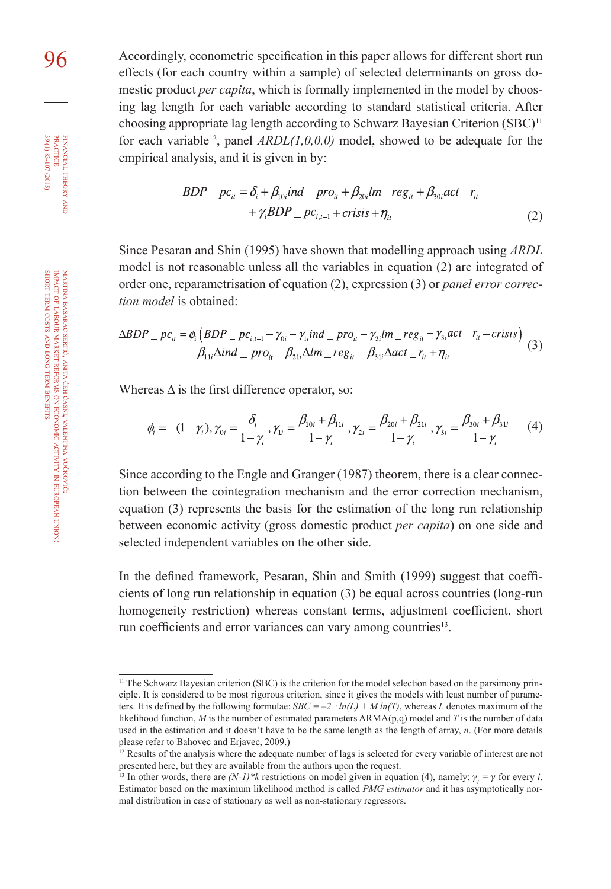96 Accordingly, econometric specification in this paper allows for different short run effects (for each country within a sample) of selected determinants on gross domestic product *per capita*, which is formally implemented in the model by choosing lag length for each variable according to standard statistical criteria. After choosing appropriate lag length according to Schwarz Bayesian Criterion (SBC)<sup>11</sup> for each variable<sup>12</sup>, panel  $ARDL(1,0,0,0)$  model, showed to be adequate for the empirical analysis, and it is given in by:

$$
BDP_{-}pc_{ii} = \delta_i + \beta_{10i}ind_{-}pro_{ii} + \beta_{20i}lm_{-}reg_{ii} + \beta_{30i}act_{-}r_{ii} + \gamma_i BDP_{-}pc_{i,i-1} + crisis + \eta_{ii}
$$
\n(2)

Since Pesaran and Shin (1995) have shown that modelling approach using *ARDL* model is not reasonable unless all the variables in equation (2) are integrated of order one, reparametrisation of equation (2), expression (3) or *panel error correction model* is obtained:

$$
\Delta BDP = pc_{ii} = \phi_i \left( BDP = pc_{i,i-1} - \gamma_{0i} - \gamma_{1i} ind_{-1} pro_{ii} - \gamma_{2i} lm_{-} reg_{ii} - \gamma_{3i} act_{-} r_{ii} - crisis \right) - \beta_{11i} \Delta ind_{-1} pro_{ii} - \beta_{21i} \Delta lm_{-} reg_{ii} - \beta_{31i} \Delta act_{-} r_{ii} + \eta_{ii}
$$
(3)

Whereas  $\Delta$  is the first difference operator, so:

$$
\phi_i = -(1 - \gamma_i), \gamma_{0i} = \frac{\delta_i}{1 - \gamma_i}, \gamma_{1i} = \frac{\beta_{10i} + \beta_{11i}}{1 - \gamma_i}, \gamma_{2i} = \frac{\beta_{20i} + \beta_{21i}}{1 - \gamma_i}, \gamma_{3i} = \frac{\beta_{30i} + \beta_{31i}}{1 - \gamma_i}
$$
(4)

Since according to the Engle and Granger (1987) theorem, there is a clear connection between the cointegration mechanism and the error correction mechanism, equation (3) represents the basis for the estimation of the long run relationship between economic activity (gross domestic product *per capita*) on one side and selected independent variables on the other side.

In the defined framework, Pesaran, Shin and Smith (1999) suggest that coefficients of long run relationship in equation (3) be equal across countries (long-run homogeneity restriction) whereas constant terms, adjustment coefficient, short run coefficients and error variances can vary among countries<sup>13</sup>.

financial

FINANCIAL THEORY PRACTICE 39 (1) 83-107 (2015)

39 (1) 83-107 (2015) practice

theory and is a set of the control.

<sup>&</sup>lt;sup>11</sup> The Schwarz Bayesian criterion (SBC) is the criterion for the model selection based on the parsimony principle. It is considered to be most rigorous criterion, since it gives the models with least number of parameters. It is defined by the following formulae:  $SBC = -2 \cdot ln(L) + M ln(T)$ , whereas *L* denotes maximum of the likelihood function, *M* is the number of estimated parameters ARMA(p,q) model and *T* is the number of data used in the estimation and it doesn't have to be the same length as the length of array, *n*. (For more details please refer to Bahovec and Erjavec, 2009.)

 $12$  Results of the analysis where the adequate number of lags is selected for every variable of interest are not presented here, but they are available from the authors upon the request.

<sup>&</sup>lt;sup>13</sup> In other words, there are  $(N-1)$ <sup>\*</sup>k restrictions on model given in equation (4), namely:  $\gamma_i = \gamma$  for every *i*. Estimator based on the maximum likelihood method is called *PMG estimator* and it has asymptotically normal distribution in case of stationary as well as non-stationary regressors.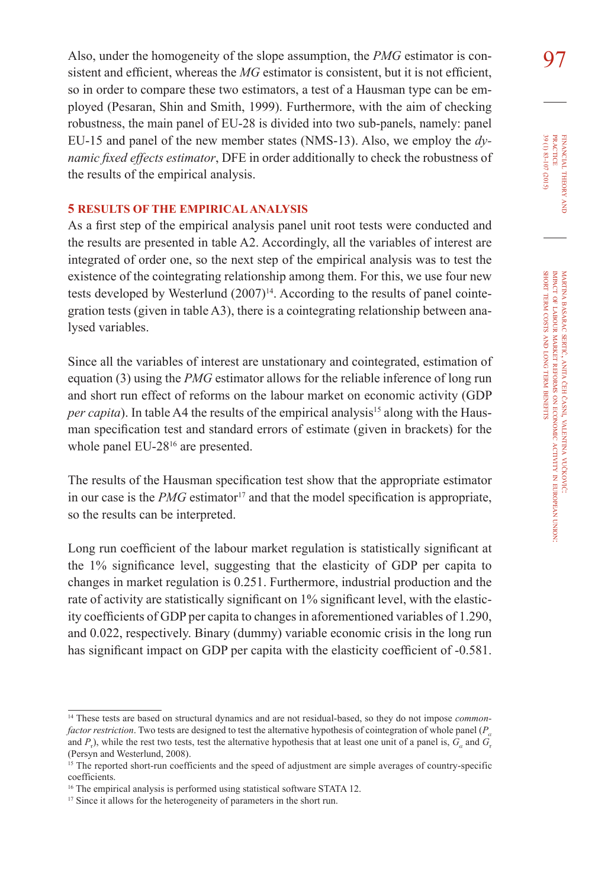Also, under the homogeneity of the slope assumption, the *PMG* estimator is con-<br>Q7 sistent and efficient, whereas the *MG* estimator is consistent, but it is not efficient, so in order to compare these two estimators, a test of a Hausman type can be employed (Pesaran, Shin and Smith, 1999). Furthermore, with the aim of checking robustness, the main panel of EU-28 is divided into two sub-panels, namely: panel EU-15 and panel of the new member states (NMS-13). Also, we employ the *dynamic fixed effects estimator*, DFE in order additionally to check the robustness of the results of the empirical analysis.

### **5 RESULTS OF THE EMPIRICAL ANALYSIS**

As a first step of the empirical analysis panel unit root tests were conducted and the results are presented in table A2. Accordingly, all the variables of interest are integrated of order one, so the next step of the empirical analysis was to test the existence of the cointegrating relationship among them. For this, we use four new tests developed by Westerlund (2007)<sup>14</sup>. According to the results of panel cointegration tests (given in table A3), there is a cointegrating relationship between analysed variables.

Since all the variables of interest are unstationary and cointegrated, estimation of equation (3) using the *PMG* estimator allows for the reliable inference of long run and short run effect of reforms on the labour market on economic activity (GDP *per capita*). In table A4 the results of the empirical analysis<sup>15</sup> along with the Hausman specification test and standard errors of estimate (given in brackets) for the whole panel EU-28<sup>16</sup> are presented.

The results of the Hausman specification test show that the appropriate estimator in our case is the  $PMG$  estimator<sup>17</sup> and that the model specification is appropriate, so the results can be interpreted.

Long run coefficient of the labour market regulation is statistically significant at the 1% significance level, suggesting that the elasticity of GDP per capita to changes in market regulation is 0.251. Furthermore, industrial production and the rate of activity are statistically significant on 1% significant level, with the elasticity coefficients of GDP per capita to changes in aforementioned variables of 1.290, and 0.022, respectively. Binary (dummy) variable economic crisis in the long run has significant impact on GDP per capita with the elasticity coefficient of -0.581.

<sup>14</sup> These tests are based on structural dynamics and are not residual-based, so they do not impose *commonfactor restriction*. Two tests are designed to test the alternative hypothesis of cointegration of whole panel (*P<sub>a</sub>* and  $P_t$ ), while the rest two tests, test the alternative hypothesis that at least one unit of a panel is,  $G_a$  and  $G_t$ (Persyn and Westerlund, 2008).

<sup>&</sup>lt;sup>15</sup> The reported short-run coefficients and the speed of adjustment are simple averages of country-specific coefficients.

<sup>16</sup> The empirical analysis is performed using statistical software STATA 12.

<sup>&</sup>lt;sup>17</sup> Since it allows for the heterogeneity of parameters in the short run.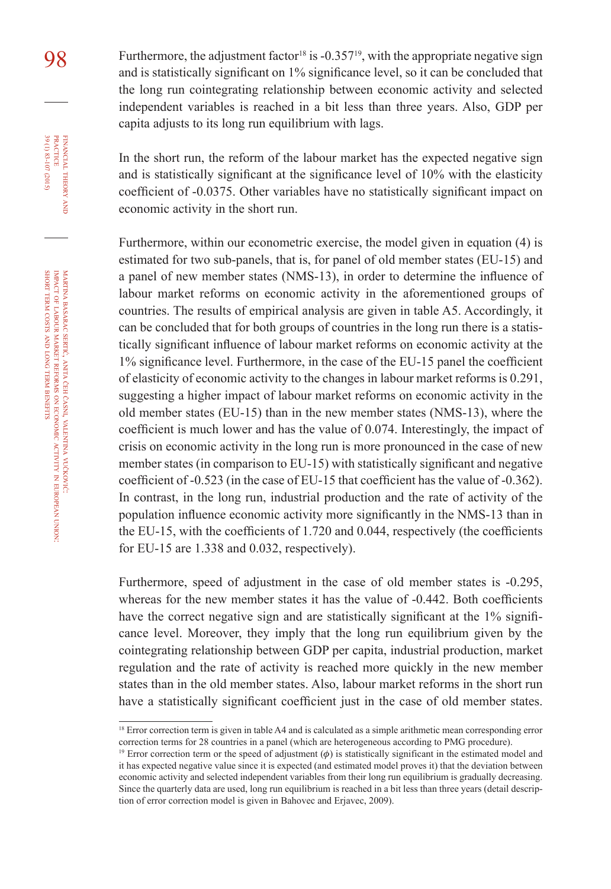98 Furthermore, the adjustment factor<sup>18</sup> is  $-0.357^{19}$ , with the appropriate negative sign<br>and is statistically significant on  $1\%$  significance layel, so it can be concluded that and is statistically significant on 1% significance level, so it can be concluded that the long run cointegrating relationship between economic activity and selected independent variables is reached in a bit less than three years. Also, GDP per capita adjusts to its long run equilibrium with lags.

> In the short run, the reform of the labour market has the expected negative sign and is statistically significant at the significance level of 10% with the elasticity coefficient of -0.0375. Other variables have no statistically significant impact on economic activity in the short run.

> Furthermore, within our econometric exercise, the model given in equation (4) is estimated for two sub-panels, that is, for panel of old member states (EU-15) and a panel of new member states (NMS-13), in order to determine the influence of labour market reforms on economic activity in the aforementioned groups of countries. The results of empirical analysis are given in table A5. Accordingly, it can be concluded that for both groups of countries in the long run there is a statistically significant influence of labour market reforms on economic activity at the 1% significance level. Furthermore, in the case of the EU-15 panel the coefficient of elasticity of economic activity to the changes in labour market reforms is 0.291, suggesting a higher impact of labour market reforms on economic activity in the old member states (EU-15) than in the new member states (NMS-13), where the coefficient is much lower and has the value of 0.074. Interestingly, the impact of crisis on economic activity in the long run is more pronounced in the case of new member states (in comparison to EU-15) with statistically significant and negative coefficient of -0.523 (in the case of EU-15 that coefficient has the value of -0.362). In contrast, in the long run, industrial production and the rate of activity of the population influence economic activity more significantly in the NMS-13 than in the EU-15, with the coefficients of 1.720 and 0.044, respectively (the coefficients for EU-15 are 1.338 and 0.032, respectively).

> Furthermore, speed of adjustment in the case of old member states is -0.295, whereas for the new member states it has the value of -0.442. Both coefficients have the correct negative sign and are statistically significant at the 1% significance level. Moreover, they imply that the long run equilibrium given by the cointegrating relationship between GDP per capita, industrial production, market regulation and the rate of activity is reached more quickly in the new member states than in the old member states. Also, labour market reforms in the short run have a statistically significant coefficient just in the case of old member states.

financial

FINANCIAL THEORY PRACTICE 39 (1) 83-107 (2015)

39 (1) 83-107 (2015) practice

theory and

<sup>&</sup>lt;sup>18</sup> Error correction term is given in table A4 and is calculated as a simple arithmetic mean corresponding error correction terms for 28 countries in a panel (which are heterogeneous according to PMG procedure).

<sup>&</sup>lt;sup>19</sup> Error correction term or the speed of adjustment  $(\phi)$  is statistically significant in the estimated model and it has expected negative value since it is expected (and estimated model proves it) that the deviation between economic activity and selected independent variables from their long run equilibrium is gradually decreasing. Since the quarterly data are used, long run equilibrium is reached in a bit less than three years (detail description of error correction model is given in Bahovec and Erjavec, 2009).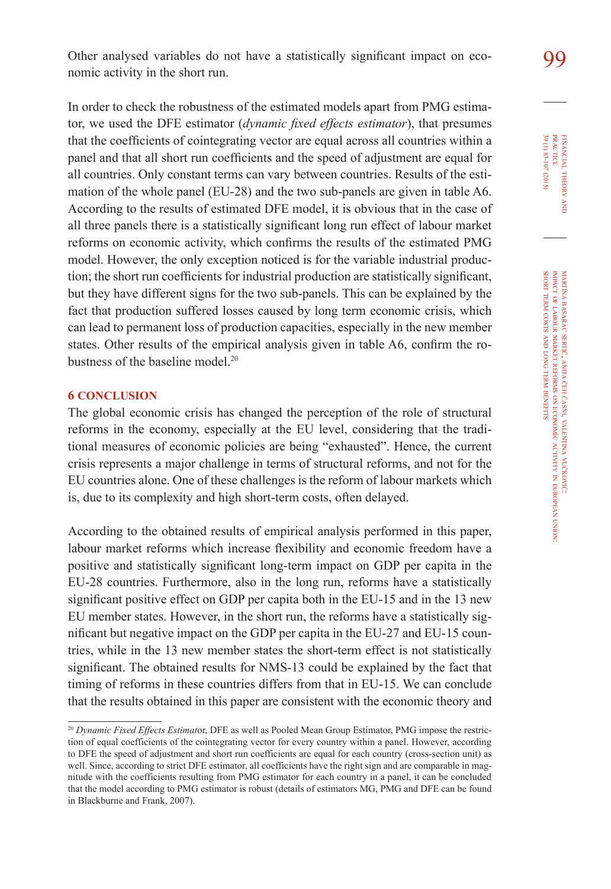Other analysed variables do not have a statistically significant impact on eco-  $99$ nomic activity in the short run.

In order to check the robustness of the estimated models apart from PMG estimator, we used the DFE estimator (*dynamic fixed effects estimator*), that presumes that the coefficients of cointegrating vector are equal across all countries within a panel and that all short run coefficients and the speed of adjustment are equal for all countries. Only constant terms can vary between countries. Results of the estimation of the whole panel (EU-28) and the two sub-panels are given in table A6. According to the results of estimated DFE model, it is obvious that in the case of all three panels there is a statistically significant long run effect of labour market reforms on economic activity, which confirms the results of the estimated PMG model. However, the only exception noticed is for the variable industrial production; the short run coefficients for industrial production are statistically significant, but they have different signs for the two sub-panels. This can be explained by the fact that production suffered losses caused by long term economic crisis, which can lead to permanent loss of production capacities, especially in the new member states. Other results of the empirical analysis given in table A6, confirm the robustness of the baseline model.<sup>20</sup>

#### **6 CONCLUSION**

The global economic crisis has changed the perception of the role of structural reforms in the economy, especially at the EU level, considering that the traditional measures of economic policies are being "exhausted". Hence, the current crisis represents a major challenge in terms of structural reforms, and not for the EU countries alone. One of these challenges is the reform of labour markets which is, due to its complexity and high short-term costs, often delayed.

According to the obtained results of empirical analysis performed in this paper, labour market reforms which increase flexibility and economic freedom have a positive and statistically significant long-term impact on GDP per capita in the EU-28 countries. Furthermore, also in the long run, reforms have a statistically significant positive effect on GDP per capita both in the EU-15 and in the 13 new EU member states. However, in the short run, the reforms have a statistically significant but negative impact on the GDP per capita in the EU-27 and EU-15 countries, while in the 13 new member states the short-term effect is not statistically significant. The obtained results for NMS-13 could be explained by the fact that timing of reforms in these countries differs from that in EU-15. We can conclude that the results obtained in this paper are consistent with the economic theory and

<sup>&</sup>lt;sup>20</sup> Dynamic Fixed Effects Estimator, DFE as well as Pooled Mean Group Estimator, PMG impose the restriction of equal coefficients of the cointegrating vector for every country within a panel. However, according to DFE the speed of adjustment and short run coefficients are equal for each country (cross-section unit) as well. Since, according to strict DFE estimator, all coefficients have the right sign and are comparable in magnitude with the coefficients resulting from PMG estimator for each country in a panel, it can be concluded that the model according to PMG estimator is robust (details of estimators MG, PMG and DFE can be found in Blackburne and Frank, 2007).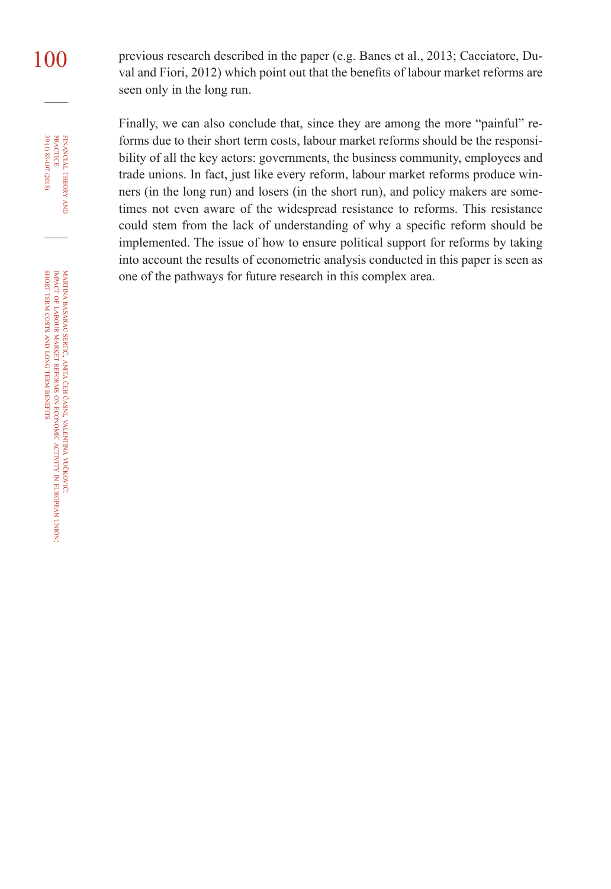100 previous research described in the paper (e.g. Banes et al., 2013; Cacciatore, Duval and Fiori, 2012) which point out that the benefits of labour market reforms are seen only in the long run.

> Finally, we can also conclude that, since they are among the more "painful" reforms due to their short term costs, labour market reforms should be the responsibility of all the key actors: governments, the business community, employees and trade unions. In fact, just like every reform, labour market reforms produce winners (in the long run) and losers (in the short run), and policy makers are sometimes not even aware of the widespread resistance to reforms. This resistance could stem from the lack of understanding of why a specific reform should be implemented. The issue of how to ensure political support for reforms by taking into account the results of econometric analysis conducted in this paper is seen as one of the pathways for future research in this complex area.

martina basarac sertić, anita čeh časni, valentina vučković: impact of labour market reforms ş economic activity in european union: short term costs and long term **BENEFITS** 

39 (1) 83-107 (2015) FINANCIAL THEORY<br>PRACTICE 39 (1) 83-107 (2015) practice financial theory

and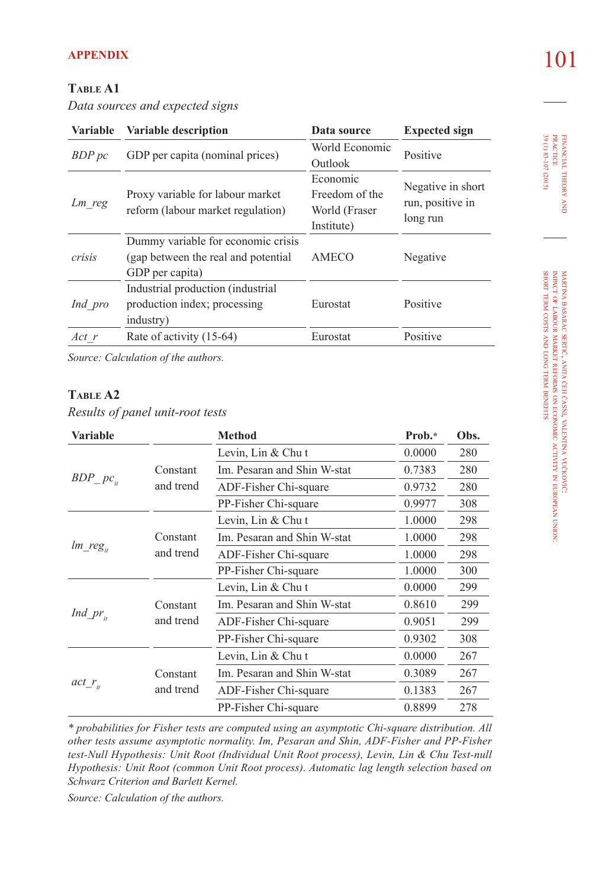# **Table A1**

*Data sources and expected signs*

| <b>Variable</b> | <b>Variable description</b>                                                                   | Data source                                               | <b>Expected sign</b>                              |  |
|-----------------|-----------------------------------------------------------------------------------------------|-----------------------------------------------------------|---------------------------------------------------|--|
| BDP pc          | GDP per capita (nominal prices)                                                               | World Economic<br>Outlook                                 | Positive                                          |  |
| Lm reg          | Proxy variable for labour market<br>reform (labour market regulation)                         | Economic<br>Freedom of the<br>World (Fraser<br>Institute) | Negative in short<br>run, positive in<br>long run |  |
| crisis          | Dummy variable for economic crisis<br>(gap between the real and potential)<br>GDP per capita) | AMECO                                                     | Negative                                          |  |
| Ind pro         | Industrial production (industrial<br>production index; processing<br>industry)                | Eurostat                                                  | Positive                                          |  |
| $Act$ r         | Rate of activity (15-64)                                                                      | Eurostat                                                  | Positive                                          |  |

*Source: Calculation of the authors.*

## **Table A2**

*Results of panel unit-root tests*

| <b>Variable</b> |                       | <b>Method</b>               | Prob.* | Obs. |
|-----------------|-----------------------|-----------------------------|--------|------|
|                 | Constant<br>and trend | Levin, $Lin & Chu$ t        | 0.0000 | 280  |
|                 |                       | Im. Pesaran and Shin W-stat | 0.7383 | 280  |
| $BDP\_pc_{it}$  |                       | ADF-Fisher Chi-square       | 0.9732 | 280  |
|                 |                       | PP-Fisher Chi-square        | 0.9977 | 308  |
|                 |                       | Levin, Lin & Chu t          | 1.0000 | 298  |
|                 | Constant<br>and trend | Im. Pesaran and Shin W-stat | 1.0000 | 298  |
| $lm\_reg_{it}$  |                       | ADF-Fisher Chi-square       | 1.0000 | 298  |
|                 |                       | PP-Fisher Chi-square        | 1.0000 | 300  |
|                 | Constant              | Levin, $Lin & Chu$ t        | 0.0000 | 299  |
|                 |                       | Im. Pesaran and Shin W-stat | 0.8610 | 299  |
| $Ind\_pr_{i}$   | and trend             | ADF-Fisher Chi-square       | 0.9051 | 299  |
|                 |                       | PP-Fisher Chi-square        | 0.9302 | 308  |
|                 | Constant              | Levin, $Lin & Chu$ t        | 0.0000 | 267  |
|                 |                       | Im. Pesaran and Shin W-stat | 0.3089 | 267  |
| $act_{r_i}$     | and trend             | ADF-Fisher Chi-square       | 0.1383 | 267  |
|                 |                       | PP-Fisher Chi-square        | 0.8899 | 278  |

*\* probabilities for Fisher tests are computed using an asymptotic Chi-square distribution. All other tests assume asymptotic normality. Im, Pesaran and Shin, ADF-Fisher and PP-Fisher test-Null Hypothesis: Unit Root (Individual Unit Root process), Levin, Lin & Chu Test-null Hypothesis: Unit Root (common Unit Root process). Automatic lag length selection based on Schwarz Criterion and Barlett Kernel.*

*Source: Calculation of the authors.*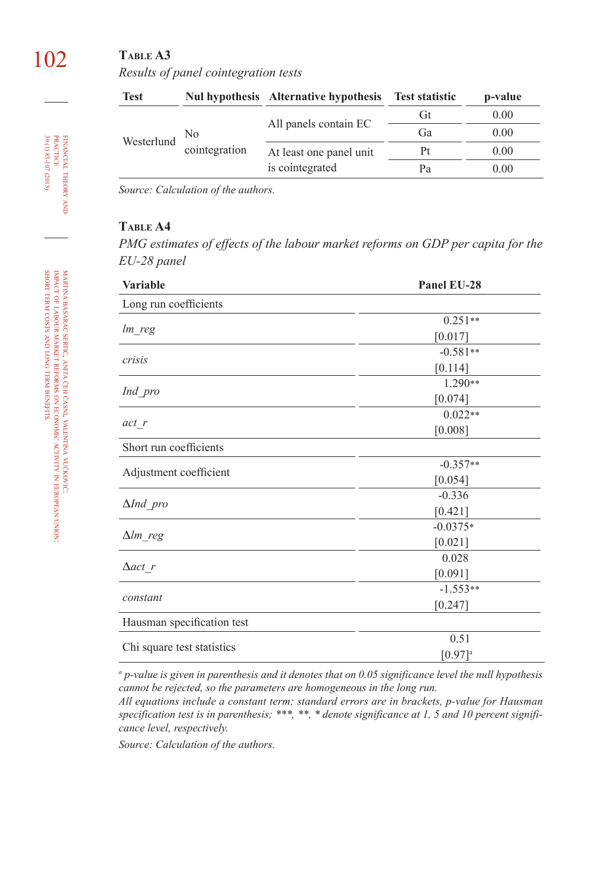# 102 **Table A3**  *Results of panel cointegration tests*

| <b>Test</b> |                     | Nul hypothesis Alternative hypothesis Test statistic |    | p-value |
|-------------|---------------------|------------------------------------------------------|----|---------|
|             | No<br>cointegration | All panels contain EC                                | Gt | 0.00    |
| Westerlund  |                     |                                                      | Ga | 0.00    |
|             |                     | At least one panel unit                              | Pt | 0.00    |
|             |                     | is cointegrated                                      | Pа | 0.00    |

*Source: Calculation of the authors.*

# **Table A4**

*PMG estimates of effects of the labour market reforms on GDP per capita for the EU-28 panel*

| Variable                   | Panel EU-28           |  |
|----------------------------|-----------------------|--|
| Long run coefficients      |                       |  |
|                            | $0.251**$             |  |
| $lm\_reg$                  | [0.017]               |  |
| crisis                     | $-0.581**$            |  |
|                            | [0.114]               |  |
|                            | 1.290**               |  |
| Ind_pro                    | [0.074]               |  |
|                            | $0.022**$             |  |
| act r                      | [0.008]               |  |
| Short run coefficients     |                       |  |
|                            | $-0.357**$            |  |
| Adjustment coefficient     | [0.054]               |  |
|                            | $-0.336$              |  |
| $\Delta Ind\_pro$          | [0.421]               |  |
|                            | $-0.0375*$            |  |
| $\Delta lm_{reg}$          | [0.021]               |  |
|                            | 0.028                 |  |
| $\Delta$ act r             | [0.091]               |  |
|                            | $-1.553**$            |  |
| constant                   | [0.247]               |  |
| Hausman specification test |                       |  |
|                            | 0.51                  |  |
| Chi square test statistics | $[0.97]$ <sup>a</sup> |  |

*a p-value is given in parenthesis and it denotes that on 0.05 significance level the null hypothesis cannot be rejected, so the parameters are homogeneous in the long run.*

*All equations include a constant term; standard errors are in brackets, p-value for Hausman specification test is in parenthesis; \*\*\*, \*\*, \* denote significance at 1, 5 and 10 percent significance level, respectively.*

*Source: Calculation of the authors.*

in european

union:

financial

theory FINANCIAL THEORY AND<br>PRACTICE<br>39 (1) 83-107 (2015) 39 (1) 83-107 (2015) practice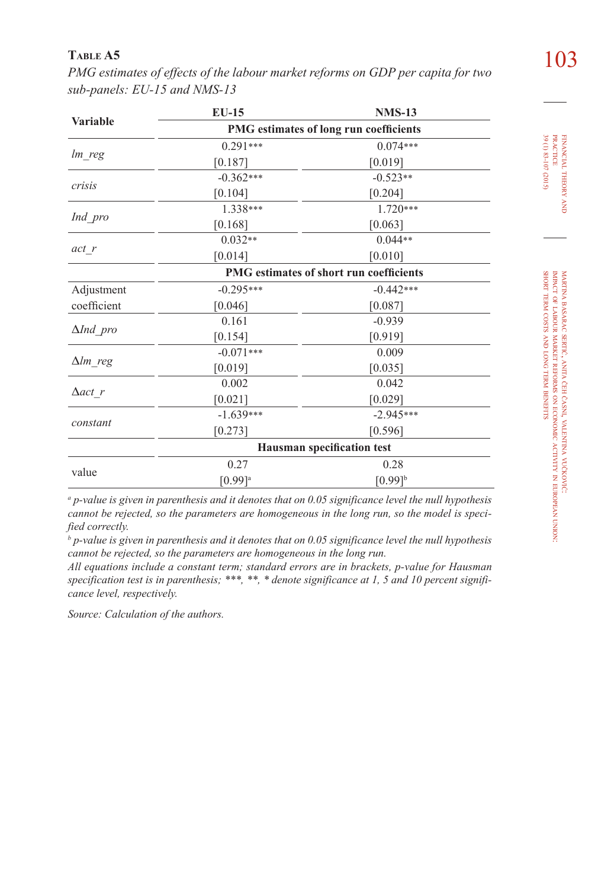103 **Table A5** *PMG estimates of effects of the labour market reforms on GDP per capita for two sub-panels: EU-15 and NMS-13* 

|                  | <b>EU-15</b>                            | <b>NMS-13</b> |  |
|------------------|-----------------------------------------|---------------|--|
| <b>Variable</b>  | PMG estimates of long run coefficients  |               |  |
|                  | $0.291***$                              | $0.074***$    |  |
| lm_reg           | [0.187]                                 | [0.019]       |  |
|                  | $-0.362***$                             | $-0.523**$    |  |
| crisis           | [0.104]                                 | [0.204]       |  |
|                  | 1.338***                                | $1.720***$    |  |
| Ind_pro          | [0.168]                                 | [0.063]       |  |
|                  | $0.032**$                               | $0.044**$     |  |
| act r            | [0.014]                                 | [0.010]       |  |
|                  | PMG estimates of short run coefficients |               |  |
| Adjustment       | $-0.295***$                             | $-0.442***$   |  |
| coefficient      | [0.046]                                 | [0.087]       |  |
|                  | 0.161                                   | $-0.939$      |  |
| $\Delta Ind$ pro | [0.154]                                 | [0.919]       |  |
|                  | $-0.071***$                             | 0.009         |  |
| $\Delta lm$ reg  | [0.019]                                 | [0.035]       |  |
|                  | 0.002                                   | 0.042         |  |
| $\Delta$ act r   | [0.021]                                 | [0.029]       |  |
|                  | $-1.639***$                             | $-2.945***$   |  |
| constant         | [0.273]                                 | [0.596]       |  |
|                  | <b>Hausman specification test</b>       |               |  |
|                  | 0.27                                    | 0.28          |  |
| value            | $[0.99]$ <sup>a</sup>                   | $[0.99]^{b}$  |  |
|                  |                                         |               |  |

*a p-value is given in parenthesis and it denotes that on 0.05 significance level the null hypothesis cannot be rejected, so the parameters are homogeneous in the long run, so the model is specified correctly.*

*b p-value is given in parenthesis and it denotes that on 0.05 significance level the null hypothesis cannot be rejected, so the parameters are homogeneous in the long run.*

*All equations include a constant term; standard errors are in brackets, p-value for Hausman specification test is in parenthesis; \*\*\*, \*\*, \* denote significance at 1, 5 and 10 percent significance level, respectively.*

*Source: Calculation of the authors.*

financial

39 (1) 83-107 (2015)

theory FINANCIAL THEORY AND PRACTICE 39 (1) 83-107 (2015) practice

martina

impact of labour

short term costs and long term benefits

basarac

sertić, anita

market

reforms ş economic

čeh

časni, valentina

vučković:

activity

european

union: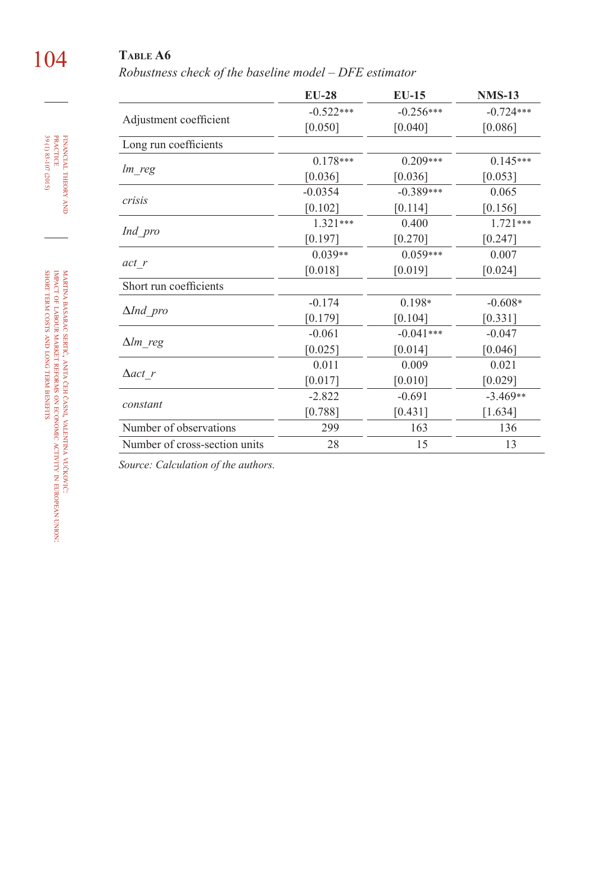# 104 **Table A6**

*Robustness check of the baseline model – DFE estimator*

|                               | $EU-28$     | $EU-15$     | <b>NMS-13</b> |
|-------------------------------|-------------|-------------|---------------|
|                               | $-0.522***$ | $-0.256***$ | $-0.724***$   |
| Adjustment coefficient        | [0.050]     | [0.040]     | [0.086]       |
| Long run coefficients         |             |             |               |
|                               | $0.178***$  | $0.209***$  | $0.145***$    |
| lm reg                        | [0.036]     | [0.036]     | [0.053]       |
|                               | $-0.0354$   | $-0.389***$ | 0.065         |
| crisis                        | [0.102]     | [0.114]     | [0.156]       |
|                               | $1.321***$  | 0.400       | $1.721***$    |
| Ind pro                       | [0.197]     | [0.270]     | [0.247]       |
|                               | $0.039**$   | $0.059***$  | 0.007         |
| act r                         | [0.018]     | [0.019]     | [0.024]       |
| Short run coefficients        |             |             |               |
|                               | $-0.174$    | $0.198*$    | $-0.608*$     |
| $\Delta Ind$ pro              | [0.179]     | [0.104]     | [0.331]       |
|                               | $-0.061$    | $-0.041***$ | $-0.047$      |
| $\Delta lm$ reg               | [0.025]     | [0.014]     | [0.046]       |
|                               | 0.011       | 0.009       | 0.021         |
| $\Delta$ act r                | [0.017]     | [0.010]     | [0.029]       |
| constant                      | $-2.822$    | $-0.691$    | $-3.469**$    |
|                               | [0.788]     | [0.431]     | [1.634]       |
| Number of observations        | 299         | 163         | 136           |
| Number of cross-section units | 28          | 15          | 13            |

*Source: Calculation of the authors.*

financial theory FINANCIAL THEORY AND<br>PRACTICE<br>39 (1) 83-107 (2015) 39 (1) 83-107 (2015) practice

martina basarac sertić, anita čeh časni, valentina vučković: impact of labour market reforms ş economic activity in european union: short term costs and long term **BENEFITS**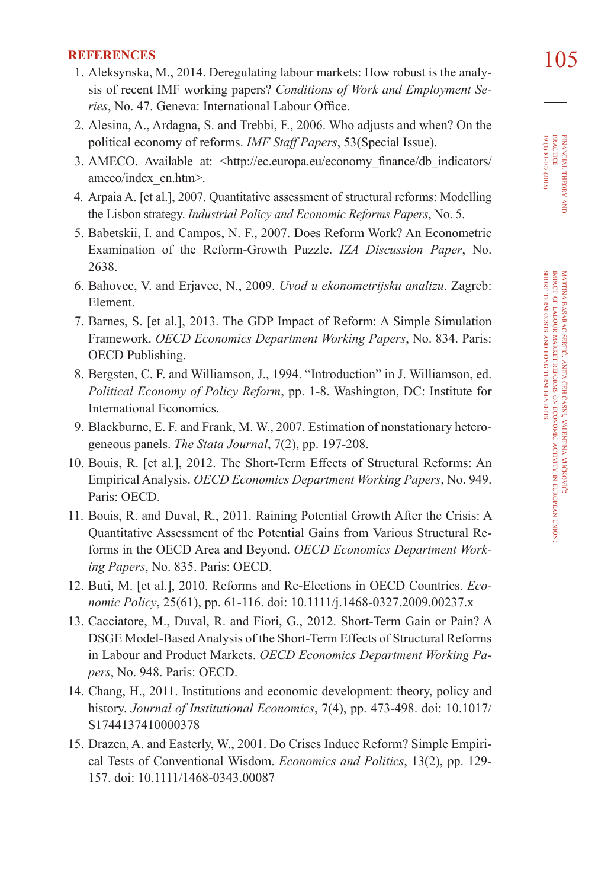- **REFERENCES** 1. Aleksynska, M., 2014. Deregulating labour markets: How robust is the analy-  $105$ sis of recent IMF working papers? *Conditions of Work and Employment Series*, No. 47. Geneva: International Labour Office.
- 2. Alesina, A., Ardagna, S. and Trebbi, F., 2006. Who adjusts and when? On the political economy of reforms. *IMF Staff Papers*, 53(Special Issue).
- 3. AMECO. Available at: <http://ec.europa.eu/economy\_finance/db\_indicators/ ameco/index\_en.htm>.
- 4. Arpaia A. [et al.], 2007. Quantitative assessment of structural reforms: Modelling the Lisbon strategy. *Industrial Policy and Economic Reforms Papers*, No. 5.
- 5. Babetskii, I. and Campos, N. F., 2007. Does Reform Work? An Econometric Examination of the Reform-Growth Puzzle. *IZA Discussion Paper*, No. 2638.
- 6. Bahovec, V. and Erjavec, N., 2009. *Uvod u ekonometrijsku analizu*. Zagreb: Element.
- 7. Barnes, S. [et al.], 2013. The GDP Impact of Reform: A Simple Simulation Framework. *OECD Economics Department Working Papers*, No. 834. Paris: OECD Publishing.
- 8. Bergsten, C. F. and Williamson, J., 1994. "Introduction" in J. Williamson, ed. *Political Economy of Policy Reform*, pp. 1-8. Washington, DC: Institute for International Economics.
- 9. Blackburne, E. F. and Frank, M. W., 2007. Estimation of nonstationary heterogeneous panels. *The Stata Journal*, 7(2), pp. 197-208.
- 10. Bouis, R. [et al.], 2012. The Short-Term Effects of Structural Reforms: An Empirical Analysis. *OECD Economics Department Working Papers*, No. 949. Paris: OECD.
- 11. Bouis, R. and Duval, R., 2011. Raining Potential Growth After the Crisis: A Quantitative Assessment of the Potential Gains from Various Structural Reforms in the OECD Area and Beyond. *OECD Economics Department Working Papers*, No. 835. Paris: OECD.
- 12. Buti, M. [et al.], 2010. Reforms and Re-Elections in OECD Countries. *Economic Policy*, 25(61), pp. 61-116. doi: [10.1111/j.1468-0327.2009.00237.x](http://dx.doi.org/10.1111/j.1468-0327.2009.00237.x)
- 13. Cacciatore, M., Duval, R. and Fiori, G., 2012. Short-Term Gain or Pain? A DSGE Model-Based Analysis of the Short-Term Effects of Structural Reforms in Labour and Product Markets. *OECD Economics Department Working Papers*, No. 948. Paris: OECD.
- 14. Chang, H., 2011. Institutions and economic development: theory, policy and history. *Journal of Institutional Economics*, 7(4), pp. 473-498. doi: [10.1017/](http://dx.doi.org/10.1017/S1744137410000378) [S174413741000037](http://dx.doi.org/10.1017/S1744137410000378)8
- 15. Drazen, A. and Easterly, W., 2001. Do Crises Induce Reform? Simple Empirical Tests of Conventional Wisdom. *Economics and Politics*, 13(2), pp. 129- 157. doi: [10.1111/1468-0343.0008](http://dx.doi.org/10.1111/1468-0343.00087)7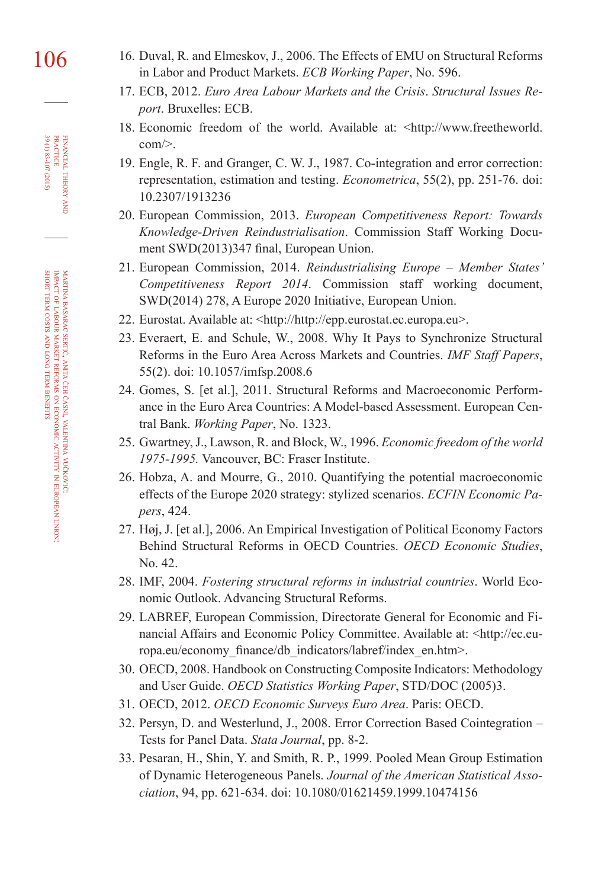- 106 16. Duval, R. and Elmeskov, J., 2006. The Effects of EMU on Structural Reforms in Labor and Product Markets. *ECB Working Paper*, No. 596.
	- 17. ECB, 2012. *Euro Area Labour Markets and the Crisis*. *Structural Issues Report*. Bruxelles: ECB.
	- 18. Economic freedom of the world. Available at: <http://www.freetheworld. com/>.
	- 19. Engle, R. F. and Granger, C. W. J., 1987. Co-integration and error correction: representation, estimation and testing. *Econometrica*, 55(2), pp. 251-76. doi: [10.2307/1913236](http://dx.doi.org/10.2307/1913236)
	- 20. European Commission, 2013. *European Competitiveness Report: Towards Knowledge-Driven Reindustrialisation*. Commission Staff Working Document SWD(2013)347 final, European Union.
	- 21. European Commission, 2014. *Reindustrialising Europe Member States' Competitiveness Report 2014*. Commission staff working document, SWD(2014) 278, A Europe 2020 Initiative, European Union.
	- 22. Eurostat. Available at: <[http://http://epp.eurostat.ec.europa.e](http://http://epp.eurostat.ec.europa.eu)u>.
	- 23. Everaert, E. and Schule, W., 2008. Why It Pays to Synchronize Structural Reforms in the Euro Area Across Markets and Countries. *IMF Staff Papers*, 55(2). doi: [10.1057/imfsp.2008.6](http://dx.doi.org/10.1057/imfsp.2008.6)
	- 24. Gomes, S. [et al.], 2011. Structural Reforms and Macroeconomic Performance in the Euro Area Countries: A Model-based Assessment. European Central Bank. *Working Paper*, No. 1323.
	- 25. Gwartney, J., Lawson, R. and Block, W., 1996. *Economic freedom of the world 1975-1995.* Vancouver, BC: Fraser Institute.
	- 26. Hobza, A. and Mourre, G., 2010. Quantifying the potential macroeconomic effects of the Europe 2020 strategy: stylized scenarios. *ECFIN Economic Papers*, 424.
	- 27. Høj, J. [et al.], 2006. An Empirical Investigation of Political Economy Factors Behind Structural Reforms in OECD Countries. *OECD Economic Studies*, No. 42.
	- 28. IMF, 2004. *Fostering structural reforms in industrial countries*. World Economic Outlook. Advancing Structural Reforms.
	- 29. LABREF, European Commission, Directorate General for Economic and Financial Affairs and Economic Policy Committee. Available at: <http://ec.europa.eu/economy\_finance/db\_indicators/labref/index\_en.htm>.
	- 30. OECD, 2008. Handbook on Constructing Composite Indicators: Methodology and User Guide. *OECD Statistics Working Paper*, STD/DOC (2005)3.
	- 31. OECD, 2012. *OECD Economic Surveys Euro Area*. Paris: OECD.
	- 32. Persyn, D. and Westerlund, J., 2008. Error Correction Based Cointegration Tests for Panel Data. *Stata Journal*, pp. 8-2.
	- 33. Pesaran, H., Shin, Y. and Smith, R. P., 1999. Pooled Mean Group Estimation of Dynamic Heterogeneous Panels. *Journal of the American Statistical Association*, 94, pp. 621-634. doi: [10.1080/01621459.1999.10474156](http://dx.doi.org/10.1080/01621459.1999.10474156)

financial

39 (1) 83-107 (2015) practice

FINANCIAL THEORY<br>PRACTICE<br>BOLI 83-107 (2015)

theory and